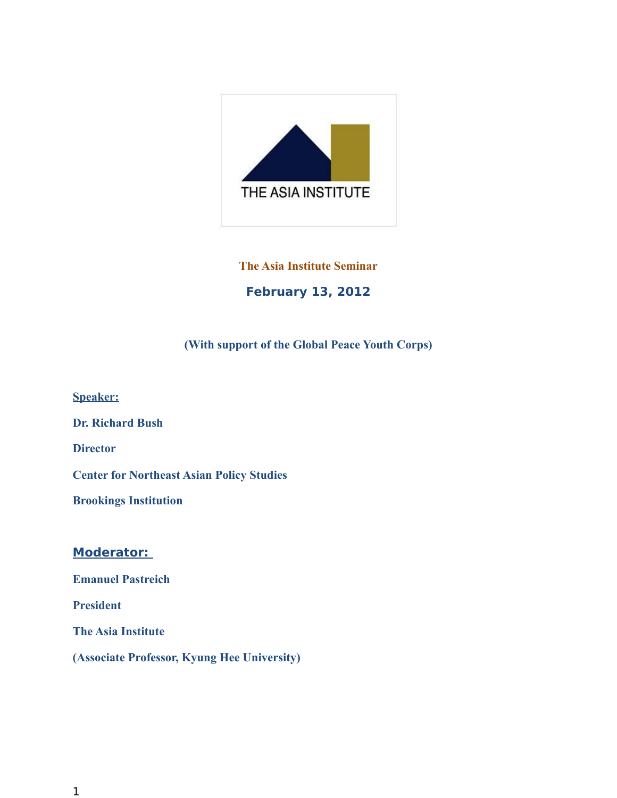

# **The Asia Institute Seminar**

# **February 13, 2012**

# **(With support of the Global Peace Youth Corps)**

**Speaker:**

**Dr. Richard Bush** 

**Director** 

**Center for Northeast Asian Policy Studies**

**Brookings Institution**

## **Moderator:**

**Emanuel Pastreich**

**President** 

**The Asia Institute** 

**(Associate Professor, Kyung Hee University)**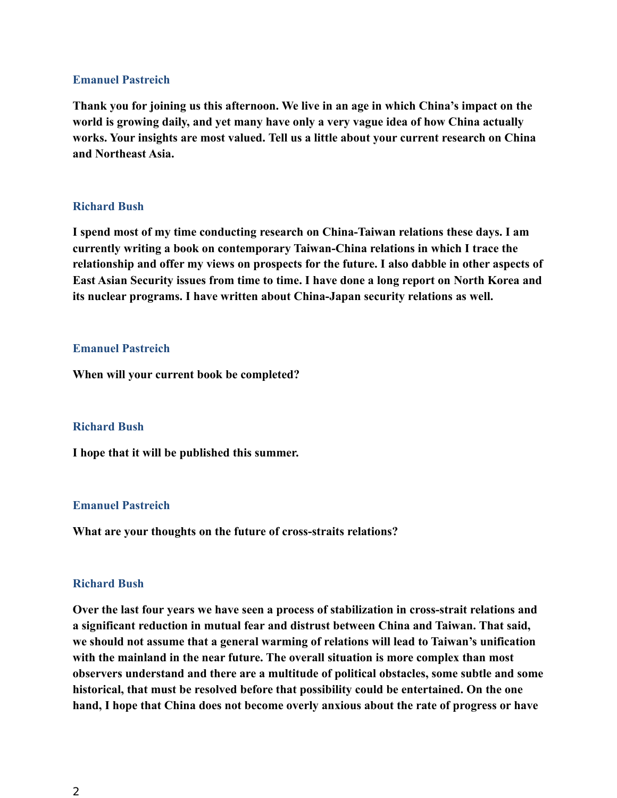**Thank you for joining us this afternoon. We live in an age in which China's impact on the world is growing daily, and yet many have only a very vague idea of how China actually works. Your insights are most valued. Tell us a little about your current research on China and Northeast Asia.** 

### **Richard Bush**

**I spend most of my time conducting research on China-Taiwan relations these days. I am currently writing a book on contemporary Taiwan-China relations in which I trace the relationship and offer my views on prospects for the future. I also dabble in other aspects of East Asian Security issues from time to time. I have done a long report on North Korea and its nuclear programs. I have written about China-Japan security relations as well.**

#### **Emanuel Pastreich**

**When will your current book be completed?**

### **Richard Bush**

**I hope that it will be published this summer.**

#### **Emanuel Pastreich**

**What are your thoughts on the future of cross-straits relations?** 

#### **Richard Bush**

**Over the last four years we have seen a process of stabilization in cross-strait relations and a significant reduction in mutual fear and distrust between China and Taiwan. That said, we should not assume that a general warming of relations will lead to Taiwan's unification with the mainland in the near future. The overall situation is more complex than most observers understand and there are a multitude of political obstacles, some subtle and some historical, that must be resolved before that possibility could be entertained. On the one hand, I hope that China does not become overly anxious about the rate of progress or have**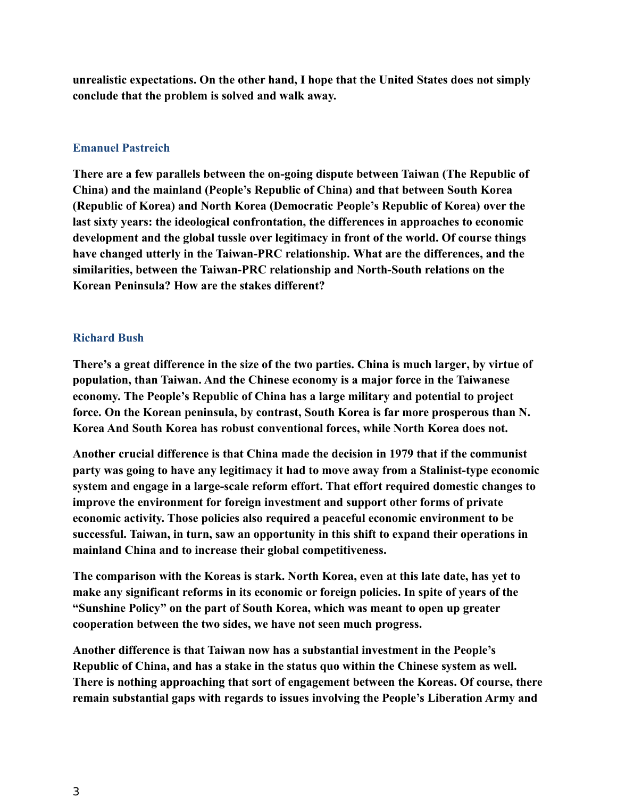**unrealistic expectations. On the other hand, I hope that the United States does not simply conclude that the problem is solved and walk away.**

### **Emanuel Pastreich**

**There are a few parallels between the on-going dispute between Taiwan (The Republic of China) and the mainland (People's Republic of China) and that between South Korea (Republic of Korea) and North Korea (Democratic People's Republic of Korea) over the last sixty years: the ideological confrontation, the differences in approaches to economic development and the global tussle over legitimacy in front of the world. Of course things have changed utterly in the Taiwan-PRC relationship. What are the differences, and the similarities, between the Taiwan-PRC relationship and North-South relations on the Korean Peninsula? How are the stakes different?** 

## **Richard Bush**

**There's a great difference in the size of the two parties. China is much larger, by virtue of population, than Taiwan. And the Chinese economy is a major force in the Taiwanese economy. The People's Republic of China has a large military and potential to project force. On the Korean peninsula, by contrast, South Korea is far more prosperous than N. Korea And South Korea has robust conventional forces, while North Korea does not.** 

**Another crucial difference is that China made the decision in 1979 that if the communist party was going to have any legitimacy it had to move away from a Stalinist-type economic system and engage in a large-scale reform effort. That effort required domestic changes to improve the environment for foreign investment and support other forms of private economic activity. Those policies also required a peaceful economic environment to be successful. Taiwan, in turn, saw an opportunity in this shift to expand their operations in mainland China and to increase their global competitiveness.**

**The comparison with the Koreas is stark. North Korea, even at this late date, has yet to make any significant reforms in its economic or foreign policies. In spite of years of the "Sunshine Policy" on the part of South Korea, which was meant to open up greater cooperation between the two sides, we have not seen much progress.** 

**Another difference is that Taiwan now has a substantial investment in the People's Republic of China, and has a stake in the status quo within the Chinese system as well. There is nothing approaching that sort of engagement between the Koreas. Of course, there remain substantial gaps with regards to issues involving the People's Liberation Army and**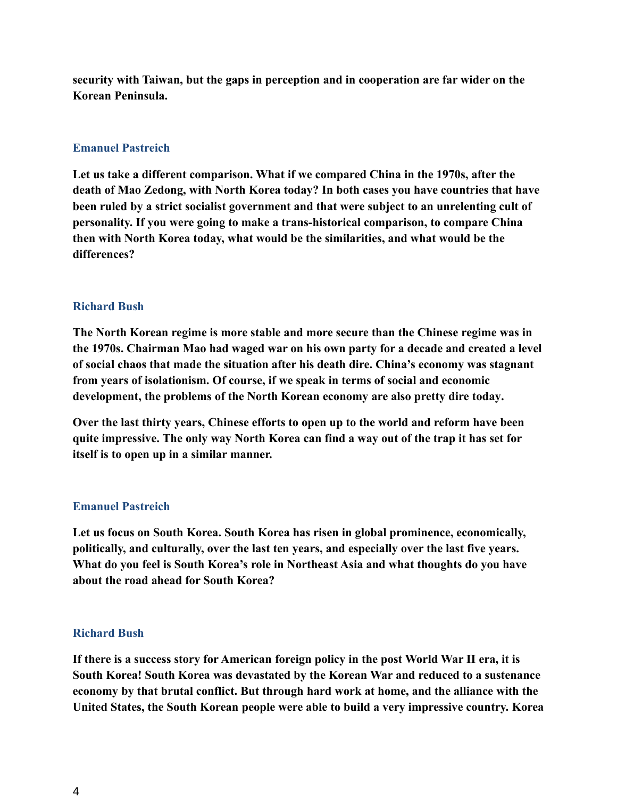**security with Taiwan, but the gaps in perception and in cooperation are far wider on the Korean Peninsula.** 

### **Emanuel Pastreich**

**Let us take a different comparison. What if we compared China in the 1970s, after the death of Mao Zedong, with North Korea today? In both cases you have countries that have been ruled by a strict socialist government and that were subject to an unrelenting cult of personality. If you were going to make a trans-historical comparison, to compare China then with North Korea today, what would be the similarities, and what would be the differences?**

### **Richard Bush**

**The North Korean regime is more stable and more secure than the Chinese regime was in the 1970s. Chairman Mao had waged war on his own party for a decade and created a level of social chaos that made the situation after his death dire. China's economy was stagnant from years of isolationism. Of course, if we speak in terms of social and economic development, the problems of the North Korean economy are also pretty dire today.** 

**Over the last thirty years, Chinese efforts to open up to the world and reform have been quite impressive. The only way North Korea can find a way out of the trap it has set for itself is to open up in a similar manner.** 

## **Emanuel Pastreich**

**Let us focus on South Korea. South Korea has risen in global prominence, economically, politically, and culturally, over the last ten years, and especially over the last five years. What do you feel is South Korea's role in Northeast Asia and what thoughts do you have about the road ahead for South Korea?** 

### **Richard Bush**

**If there is a success story for American foreign policy in the post World War II era, it is South Korea! South Korea was devastated by the Korean War and reduced to a sustenance economy by that brutal conflict. But through hard work at home, and the alliance with the United States, the South Korean people were able to build a very impressive country. Korea**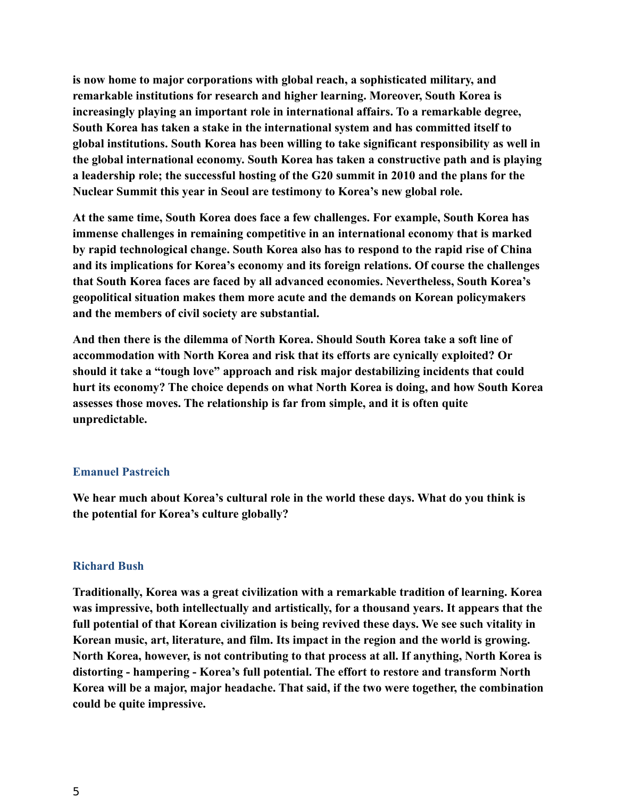**is now home to major corporations with global reach, a sophisticated military, and remarkable institutions for research and higher learning. Moreover, South Korea is increasingly playing an important role in international affairs. To a remarkable degree, South Korea has taken a stake in the international system and has committed itself to global institutions. South Korea has been willing to take significant responsibility as well in the global international economy. South Korea has taken a constructive path and is playing a leadership role; the successful hosting of the G20 summit in 2010 and the plans for the Nuclear Summit this year in Seoul are testimony to Korea's new global role.** 

**At the same time, South Korea does face a few challenges. For example, South Korea has immense challenges in remaining competitive in an international economy that is marked by rapid technological change. South Korea also has to respond to the rapid rise of China and its implications for Korea's economy and its foreign relations. Of course the challenges that South Korea faces are faced by all advanced economies. Nevertheless, South Korea's geopolitical situation makes them more acute and the demands on Korean policymakers and the members of civil society are substantial.** 

**And then there is the dilemma of North Korea. Should South Korea take a soft line of accommodation with North Korea and risk that its efforts are cynically exploited? Or should it take a "tough love" approach and risk major destabilizing incidents that could hurt its economy? The choice depends on what North Korea is doing, and how South Korea assesses those moves. The relationship is far from simple, and it is often quite unpredictable.** 

### **Emanuel Pastreich**

**We hear much about Korea's cultural role in the world these days. What do you think is the potential for Korea's culture globally?**

### **Richard Bush**

**Traditionally, Korea was a great civilization with a remarkable tradition of learning. Korea was impressive, both intellectually and artistically, for a thousand years. It appears that the full potential of that Korean civilization is being revived these days. We see such vitality in Korean music, art, literature, and film. Its impact in the region and the world is growing. North Korea, however, is not contributing to that process at all. If anything, North Korea is distorting - hampering - Korea's full potential. The effort to restore and transform North Korea will be a major, major headache. That said, if the two were together, the combination could be quite impressive.**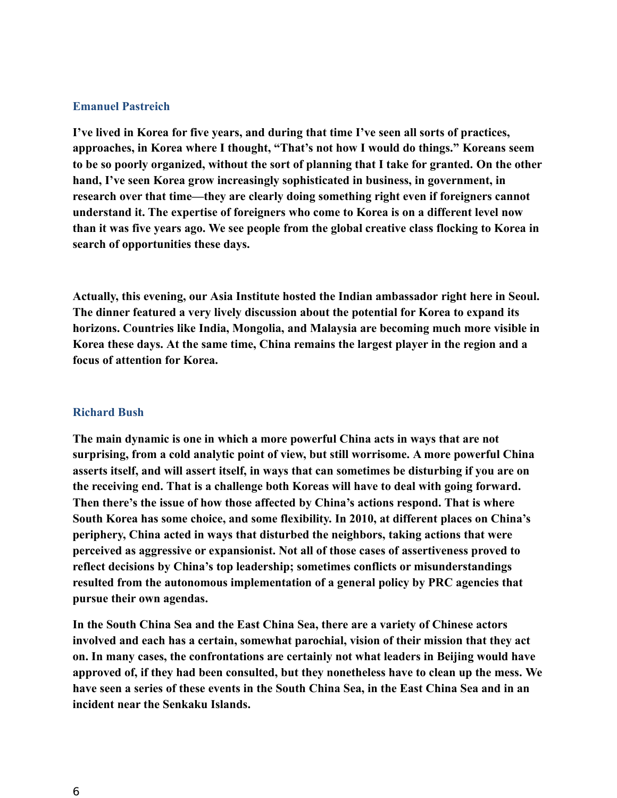**I've lived in Korea for five years, and during that time I've seen all sorts of practices, approaches, in Korea where I thought, "That's not how I would do things." Koreans seem to be so poorly organized, without the sort of planning that I take for granted. On the other hand, I've seen Korea grow increasingly sophisticated in business, in government, in research over that time—they are clearly doing something right even if foreigners cannot understand it. The expertise of foreigners who come to Korea is on a different level now than it was five years ago. We see people from the global creative class flocking to Korea in search of opportunities these days.** 

**Actually, this evening, our Asia Institute hosted the Indian ambassador right here in Seoul. The dinner featured a very lively discussion about the potential for Korea to expand its horizons. Countries like India, Mongolia, and Malaysia are becoming much more visible in Korea these days. At the same time, China remains the largest player in the region and a focus of attention for Korea.** 

#### **Richard Bush**

**The main dynamic is one in which a more powerful China acts in ways that are not surprising, from a cold analytic point of view, but still worrisome. A more powerful China asserts itself, and will assert itself, in ways that can sometimes be disturbing if you are on the receiving end. That is a challenge both Koreas will have to deal with going forward. Then there's the issue of how those affected by China's actions respond. That is where South Korea has some choice, and some flexibility. In 2010, at different places on China's periphery, China acted in ways that disturbed the neighbors, taking actions that were perceived as aggressive or expansionist. Not all of those cases of assertiveness proved to reflect decisions by China's top leadership; sometimes conflicts or misunderstandings resulted from the autonomous implementation of a general policy by PRC agencies that pursue their own agendas.** 

**In the South China Sea and the East China Sea, there are a variety of Chinese actors involved and each has a certain, somewhat parochial, vision of their mission that they act on. In many cases, the confrontations are certainly not what leaders in Beijing would have approved of, if they had been consulted, but they nonetheless have to clean up the mess. We have seen a series of these events in the South China Sea, in the East China Sea and in an incident near the Senkaku Islands.**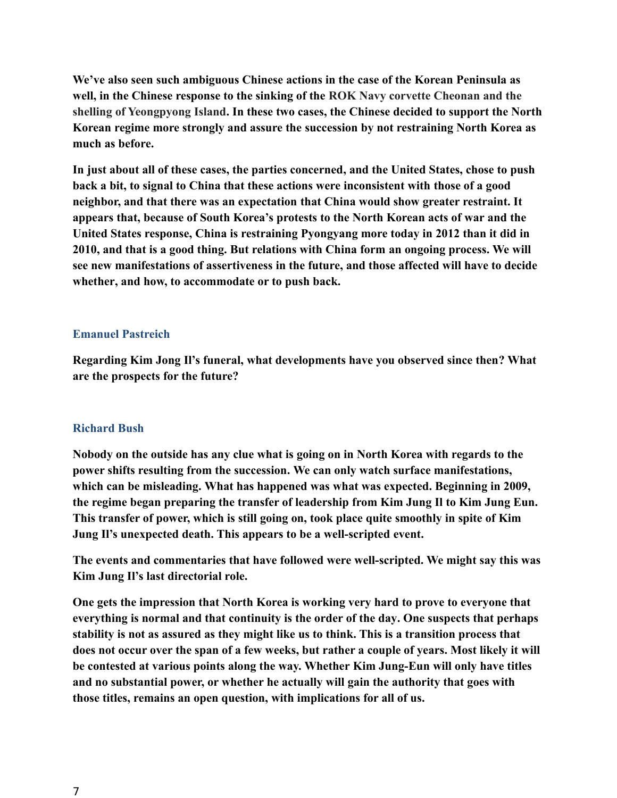**We've also seen such ambiguous Chinese actions in the case of the Korean Peninsula as well, in the Chinese response to the sinking of the ROK Navy corvette Cheonan and the shelling of Yeongpyong Island. In these two cases, the Chinese decided to support the North Korean regime more strongly and assure the succession by not restraining North Korea as much as before.** 

**In just about all of these cases, the parties concerned, and the United States, chose to push back a bit, to signal to China that these actions were inconsistent with those of a good neighbor, and that there was an expectation that China would show greater restraint. It appears that, because of South Korea's protests to the North Korean acts of war and the United States response, China is restraining Pyongyang more today in 2012 than it did in 2010, and that is a good thing. But relations with China form an ongoing process. We will see new manifestations of assertiveness in the future, and those affected will have to decide whether, and how, to accommodate or to push back.**

### **Emanuel Pastreich**

**Regarding Kim Jong Il's funeral, what developments have you observed since then? What are the prospects for the future?**

## **Richard Bush**

**Nobody on the outside has any clue what is going on in North Korea with regards to the power shifts resulting from the succession. We can only watch surface manifestations, which can be misleading. What has happened was what was expected. Beginning in 2009, the regime began preparing the transfer of leadership from Kim Jung Il to Kim Jung Eun. This transfer of power, which is still going on, took place quite smoothly in spite of Kim Jung Il's unexpected death. This appears to be a well-scripted event.** 

**The events and commentaries that have followed were well-scripted. We might say this was Kim Jung Il's last directorial role.**

**One gets the impression that North Korea is working very hard to prove to everyone that everything is normal and that continuity is the order of the day. One suspects that perhaps stability is not as assured as they might like us to think. This is a transition process that does not occur over the span of a few weeks, but rather a couple of years. Most likely it will be contested at various points along the way. Whether Kim Jung-Eun will only have titles and no substantial power, or whether he actually will gain the authority that goes with those titles, remains an open question, with implications for all of us.**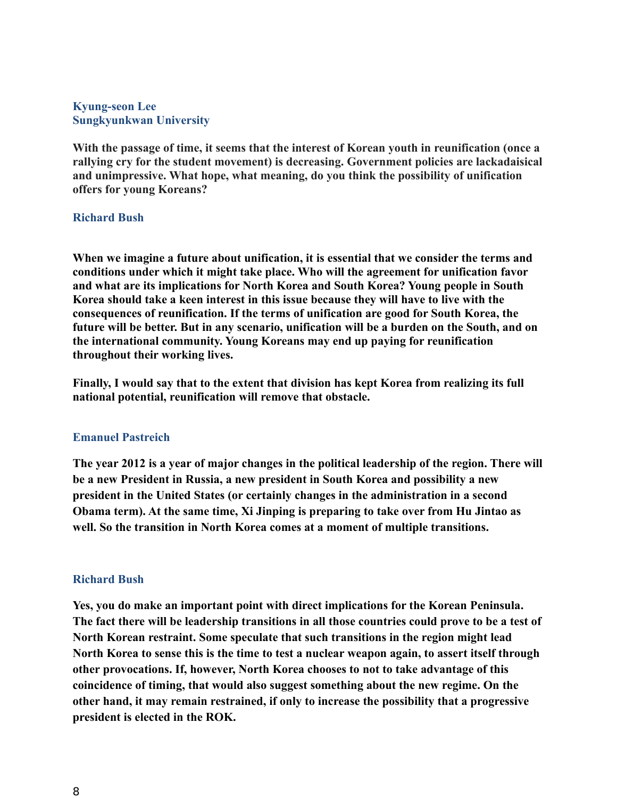#### **Kyung-seon Lee Sungkyunkwan University**

**With the passage of time, it seems that the interest of Korean youth in reunification (once a rallying cry for the student movement) is decreasing. Government policies are lackadaisical and unimpressive. What hope, what meaning, do you think the possibility of unification offers for young Koreans?** 

#### **Richard Bush**

**When we imagine a future about unification, it is essential that we consider the terms and conditions under which it might take place. Who will the agreement for unification favor and what are its implications for North Korea and South Korea? Young people in South Korea should take a keen interest in this issue because they will have to live with the consequences of reunification. If the terms of unification are good for South Korea, the future will be better. But in any scenario, unification will be a burden on the South, and on the international community. Young Koreans may end up paying for reunification throughout their working lives.** 

**Finally, I would say that to the extent that division has kept Korea from realizing its full national potential, reunification will remove that obstacle.** 

### **Emanuel Pastreich**

**The year 2012 is a year of major changes in the political leadership of the region. There will be a new President in Russia, a new president in South Korea and possibility a new president in the United States (or certainly changes in the administration in a second Obama term). At the same time, Xi Jinping is preparing to take over from Hu Jintao as well. So the transition in North Korea comes at a moment of multiple transitions.** 

### **Richard Bush**

**Yes, you do make an important point with direct implications for the Korean Peninsula. The fact there will be leadership transitions in all those countries could prove to be a test of North Korean restraint. Some speculate that such transitions in the region might lead North Korea to sense this is the time to test a nuclear weapon again, to assert itself through other provocations. If, however, North Korea chooses to not to take advantage of this coincidence of timing, that would also suggest something about the new regime. On the other hand, it may remain restrained, if only to increase the possibility that a progressive president is elected in the ROK.**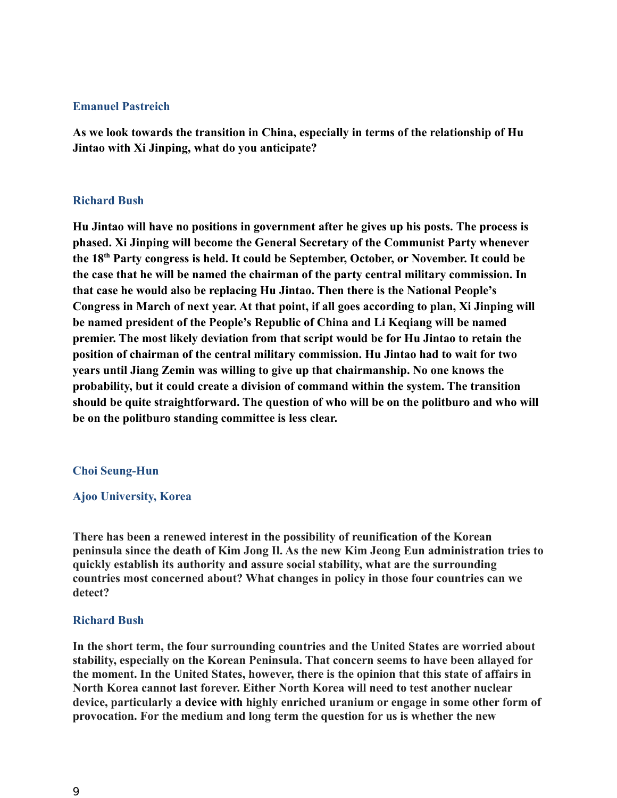**As we look towards the transition in China, especially in terms of the relationship of Hu Jintao with Xi Jinping, what do you anticipate?** 

#### **Richard Bush**

**Hu Jintao will have no positions in government after he gives up his posts. The process is phased. Xi Jinping will become the General Secretary of the Communist Party whenever the 18th Party congress is held. It could be September, October, or November. It could be the case that he will be named the chairman of the party central military commission. In that case he would also be replacing Hu Jintao. Then there is the National People's Congress in March of next year. At that point, if all goes according to plan, Xi Jinping will be named president of the People's Republic of China and Li Keqiang will be named premier. The most likely deviation from that script would be for Hu Jintao to retain the position of chairman of the central military commission. Hu Jintao had to wait for two years until Jiang Zemin was willing to give up that chairmanship. No one knows the probability, but it could create a division of command within the system. The transition should be quite straightforward. The question of who will be on the politburo and who will be on the politburo standing committee is less clear.** 

#### **Choi Seung-Hun**

#### **Ajoo University, Korea**

**There has been a renewed interest in the possibility of reunification of the Korean peninsula since the death of Kim Jong Il. As the new Kim Jeong Eun administration tries to quickly establish its authority and assure social stability, what are the surrounding countries most concerned about? What changes in policy in those four countries can we detect?** 

#### **Richard Bush**

**In the short term, the four surrounding countries and the United States are worried about stability, especially on the Korean Peninsula. That concern seems to have been allayed for the moment. In the United States, however, there is the opinion that this state of affairs in North Korea cannot last forever. Either North Korea will need to test another nuclear device, particularly a device with highly enriched uranium or engage in some other form of provocation. For the medium and long term the question for us is whether the new**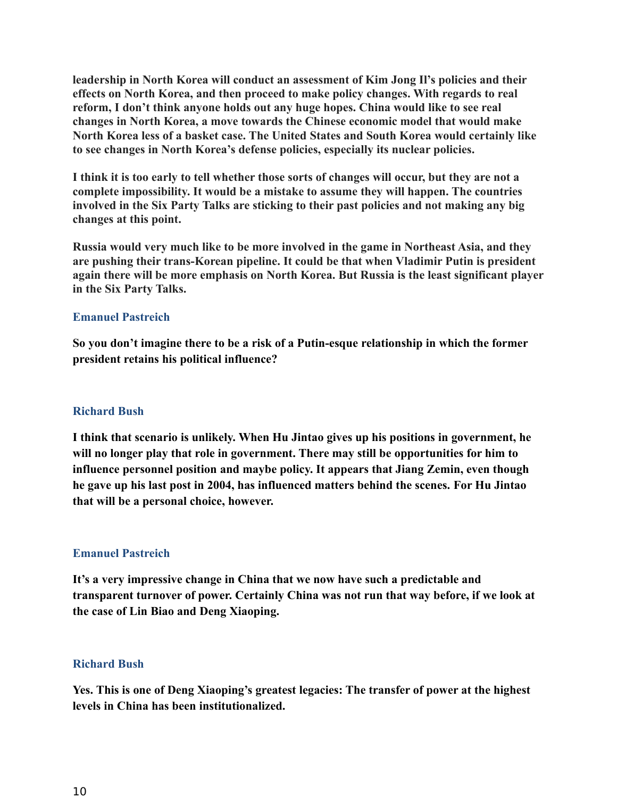**leadership in North Korea will conduct an assessment of Kim Jong Il's policies and their effects on North Korea, and then proceed to make policy changes. With regards to real reform, I don't think anyone holds out any huge hopes. China would like to see real changes in North Korea, a move towards the Chinese economic model that would make North Korea less of a basket case. The United States and South Korea would certainly like to see changes in North Korea's defense policies, especially its nuclear policies.** 

**I think it is too early to tell whether those sorts of changes will occur, but they are not a complete impossibility. It would be a mistake to assume they will happen. The countries involved in the Six Party Talks are sticking to their past policies and not making any big changes at this point.** 

**Russia would very much like to be more involved in the game in Northeast Asia, and they are pushing their trans-Korean pipeline. It could be that when Vladimir Putin is president again there will be more emphasis on North Korea. But Russia is the least significant player in the Six Party Talks.** 

### **Emanuel Pastreich**

**So you don't imagine there to be a risk of a Putin-esque relationship in which the former president retains his political influence?**

## **Richard Bush**

**I think that scenario is unlikely. When Hu Jintao gives up his positions in government, he will no longer play that role in government. There may still be opportunities for him to influence personnel position and maybe policy. It appears that Jiang Zemin, even though he gave up his last post in 2004, has influenced matters behind the scenes. For Hu Jintao that will be a personal choice, however.**

## **Emanuel Pastreich**

**It's a very impressive change in China that we now have such a predictable and transparent turnover of power. Certainly China was not run that way before, if we look at the case of Lin Biao and Deng Xiaoping.** 

### **Richard Bush**

**Yes. This is one of Deng Xiaoping's greatest legacies: The transfer of power at the highest levels in China has been institutionalized.**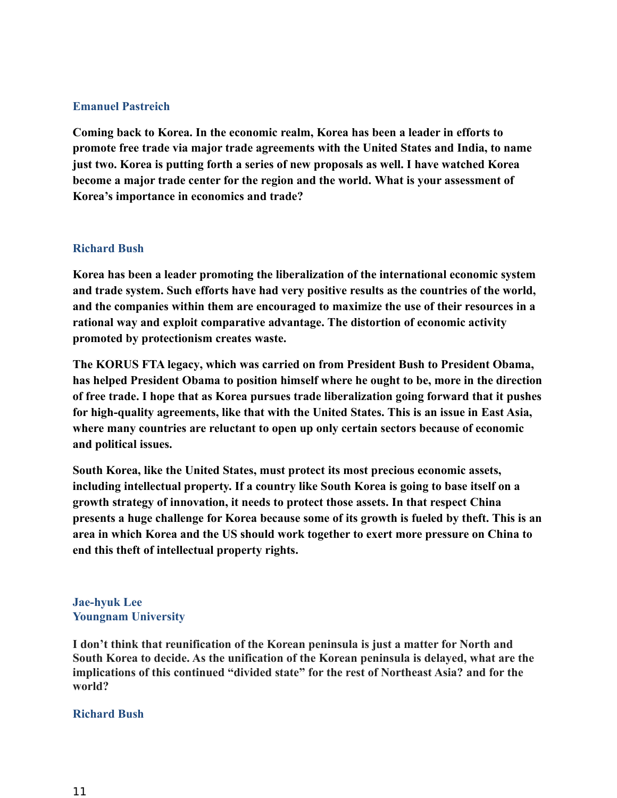**Coming back to Korea. In the economic realm, Korea has been a leader in efforts to promote free trade via major trade agreements with the United States and India, to name just two. Korea is putting forth a series of new proposals as well. I have watched Korea become a major trade center for the region and the world. What is your assessment of Korea's importance in economics and trade?**

### **Richard Bush**

**Korea has been a leader promoting the liberalization of the international economic system and trade system. Such efforts have had very positive results as the countries of the world, and the companies within them are encouraged to maximize the use of their resources in a rational way and exploit comparative advantage. The distortion of economic activity promoted by protectionism creates waste.** 

**The KORUS FTA legacy, which was carried on from President Bush to President Obama, has helped President Obama to position himself where he ought to be, more in the direction of free trade. I hope that as Korea pursues trade liberalization going forward that it pushes for high-quality agreements, like that with the United States. This is an issue in East Asia, where many countries are reluctant to open up only certain sectors because of economic and political issues.** 

**South Korea, like the United States, must protect its most precious economic assets, including intellectual property. If a country like South Korea is going to base itself on a growth strategy of innovation, it needs to protect those assets. In that respect China presents a huge challenge for Korea because some of its growth is fueled by theft. This is an area in which Korea and the US should work together to exert more pressure on China to end this theft of intellectual property rights.**

### **Jae-hyuk Lee Youngnam University**

**I don't think that reunification of the Korean peninsula is just a matter for North and South Korea to decide. As the unification of the Korean peninsula is delayed, what are the implications of this continued "divided state" for the rest of Northeast Asia? and for the world?** 

### **Richard Bush**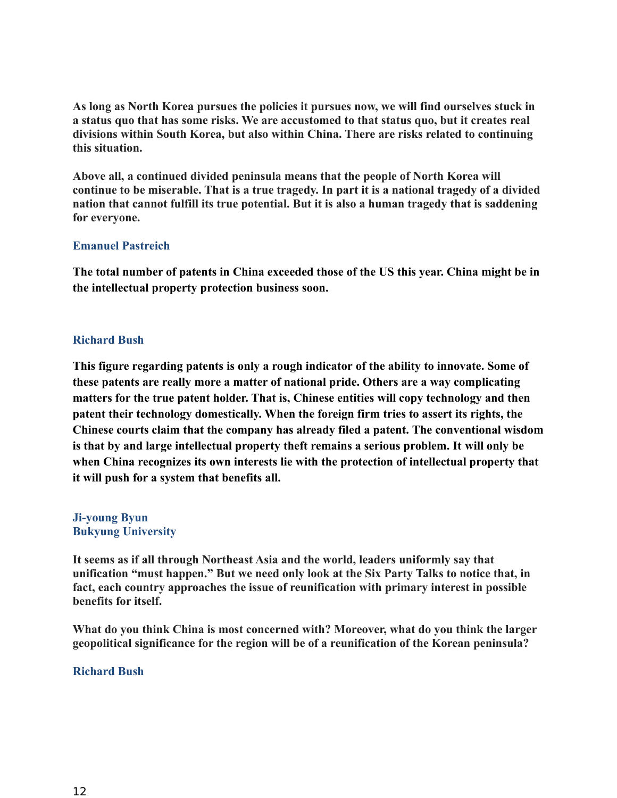**As long as North Korea pursues the policies it pursues now, we will find ourselves stuck in a status quo that has some risks. We are accustomed to that status quo, but it creates real divisions within South Korea, but also within China. There are risks related to continuing this situation.** 

**Above all, a continued divided peninsula means that the people of North Korea will continue to be miserable. That is a true tragedy. In part it is a national tragedy of a divided nation that cannot fulfill its true potential. But it is also a human tragedy that is saddening for everyone.** 

### **Emanuel Pastreich**

**The total number of patents in China exceeded those of the US this year. China might be in the intellectual property protection business soon.**

## **Richard Bush**

**This figure regarding patents is only a rough indicator of the ability to innovate. Some of these patents are really more a matter of national pride. Others are a way complicating matters for the true patent holder. That is, Chinese entities will copy technology and then patent their technology domestically. When the foreign firm tries to assert its rights, the Chinese courts claim that the company has already filed a patent. The conventional wisdom is that by and large intellectual property theft remains a serious problem. It will only be when China recognizes its own interests lie with the protection of intellectual property that it will push for a system that benefits all.**

## **Ji-young Byun Bukyung University**

**It seems as if all through Northeast Asia and the world, leaders uniformly say that unification "must happen." But we need only look at the Six Party Talks to notice that, in fact, each country approaches the issue of reunification with primary interest in possible benefits for itself.** 

**What do you think China is most concerned with? Moreover, what do you think the larger geopolitical significance for the region will be of a reunification of the Korean peninsula?**

## **Richard Bush**